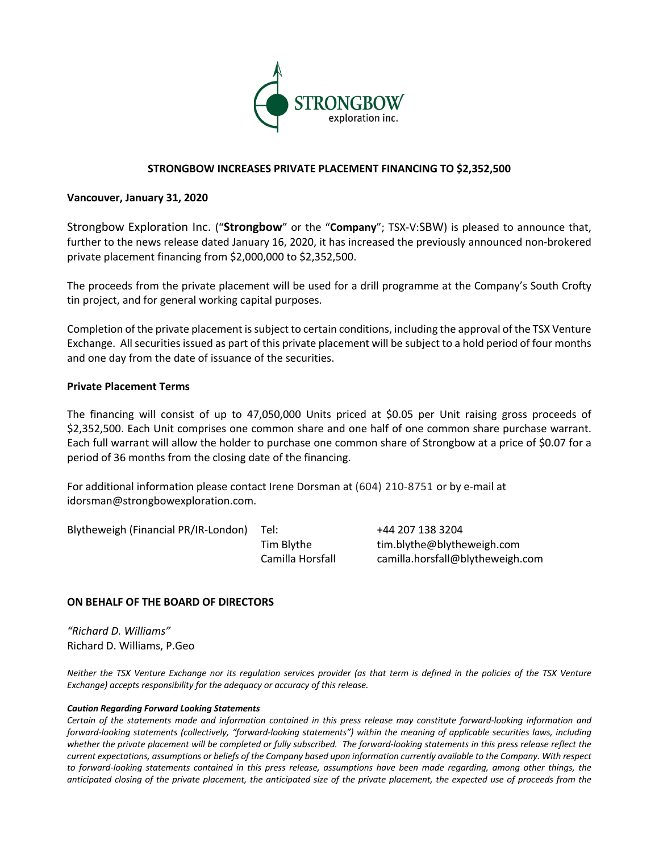

## **STRONGBOW INCREASES PRIVATE PLACEMENT FINANCING TO \$2,352,500**

#### **Vancouver, January 31, 2020**

Strongbow Exploration Inc. ("**Strongbow**" or the "**Company**"; TSX-V:SBW) is pleased to announce that, further to the news release dated January 16, 2020, it has increased the previously announced non-brokered private placement financing from \$2,000,000 to \$2,352,500.

The proceeds from the private placement will be used for a drill programme at the Company's South Crofty tin project, and for general working capital purposes.

Completion of the private placement is subject to certain conditions, including the approval of the TSX Venture Exchange. All securities issued as part of this private placement will be subject to a hold period of four months and one day from the date of issuance of the securities.

### **Private Placement Terms**

The financing will consist of up to 47,050,000 Units priced at \$0.05 per Unit raising gross proceeds of \$2,352,500. Each Unit comprises one common share and one half of one common share purchase warrant. Each full warrant will allow the holder to purchase one common share of Strongbow at a price of \$0.07 for a period of 36 months from the closing date of the financing.

For additional information please contact Irene Dorsman at (604) 210-8751 or by e-mail at idorsman@strongbowexploration.com.

Blytheweigh (Financial PR/IR-London) Tel: +44 207 138 3204

Tim Blythe tim.blythe@blytheweigh.com Camilla Horsfall camilla.horsfall@blytheweigh.com

# **ON BEHALF OF THE BOARD OF DIRECTORS**

*"Richard D. Williams"* Richard D. Williams, P.Geo

*Neither the TSX Venture Exchange nor its regulation services provider (as that term is defined in the policies of the TSX Venture Exchange) accepts responsibility for the adequacy or accuracy of this release.*

#### *Caution Regarding Forward Looking Statements*

*Certain of the statements made and information contained in this press release may constitute forward-looking information and forward-looking statements (collectively, "forward-looking statements") within the meaning of applicable securities laws, including whether the private placement will be completed or fully subscribed. The forward-looking statements in this press release reflect the current expectations, assumptions or beliefs of the Company based upon information currently available to the Company. With respect to forward-looking statements contained in this press release, assumptions have been made regarding, among other things, the anticipated closing of the private placement, the anticipated size of the private placement, the expected use of proceeds from the*